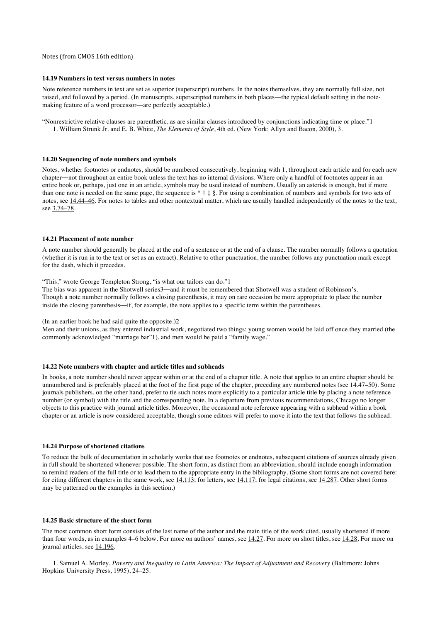## Notes (from CMOS 16th edition)

#### **14.19 Numbers in text versus numbers in notes**

Note reference numbers in text are set as superior (superscript) numbers. In the notes themselves, they are normally full size, not raised, and followed by a period. (In manuscripts, superscripted numbers in both places—the typical default setting in the notemaking feature of a word processor—are perfectly acceptable.)

"Nonrestrictive relative clauses are parenthetic, as are similar clauses introduced by conjunctions indicating time or place."1 1. William Strunk Jr. and E. B. White, *The Elements of Style*, 4th ed. (New York: Allyn and Bacon, 2000), 3.

#### **14.20 Sequencing of note numbers and symbols**

Notes, whether footnotes or endnotes, should be numbered consecutively, beginning with 1, throughout each article and for each new chapter—not throughout an entire book unless the text has no internal divisions. Where only a handful of footnotes appear in an entire book or, perhaps, just one in an article, symbols may be used instead of numbers. Usually an asterisk is enough, but if more than one note is needed on the same page, the sequence is  $* + 1$ . For using a combination of numbers and symbols for two sets of notes, see 14.44–46. For notes to tables and other nontextual matter, which are usually handled independently of the notes to the text, see 3.74–78.

### **14.21 Placement of note number**

A note number should generally be placed at the end of a sentence or at the end of a clause. The number normally follows a quotation (whether it is run in to the text or set as an extract). Relative to other punctuation, the number follows any punctuation mark except for the dash, which it precedes.

"This," wrote George Templeton Strong, "is what our tailors can do."1

The bias was apparent in the Shotwell series3—and it must be remembered that Shotwell was a student of Robinson's. Though a note number normally follows a closing parenthesis, it may on rare occasion be more appropriate to place the number inside the closing parenthesis—if, for example, the note applies to a specific term within the parentheses.

(In an earlier book he had said quite the opposite.)2

Men and their unions, as they entered industrial work, negotiated two things: young women would be laid off once they married (the commonly acknowledged "marriage bar"1), and men would be paid a "family wage."

## **14.22 Note numbers with chapter and article titles and subheads**

In books, a note number should never appear within or at the end of a chapter title. A note that applies to an entire chapter should be unnumbered and is preferably placed at the foot of the first page of the chapter, preceding any numbered notes (see 14.47–50). Some journals publishers, on the other hand, prefer to tie such notes more explicitly to a particular article title by placing a note reference number (or symbol) with the title and the corresponding note. In a departure from previous recommendations, Chicago no longer objects to this practice with journal article titles. Moreover, the occasional note reference appearing with a subhead within a book chapter or an article is now considered acceptable, though some editors will prefer to move it into the text that follows the subhead.

#### **14.24 Purpose of shortened citations**

To reduce the bulk of documentation in scholarly works that use footnotes or endnotes, subsequent citations of sources already given in full should be shortened whenever possible. The short form, as distinct from an abbreviation, should include enough information to remind readers of the full title or to lead them to the appropriate entry in the bibliography. (Some short forms are not covered here: for citing different chapters in the same work, see  $14.113$ ; for letters, see  $14.117$ ; for legal citations, see  $14.287$ . Other short forms may be patterned on the examples in this section.)

## **14.25 Basic structure of the short form**

The most common short form consists of the last name of the author and the main title of the work cited, usually shortened if more than four words, as in examples 4–6 below. For more on authors' names, see 14.27. For more on short titles, see 14.28. For more on journal articles, see 14.196.

1. Samuel A. Morley, *Poverty and Inequality in Latin America: The Impact of Adjustment and Recovery* (Baltimore: Johns Hopkins University Press, 1995), 24–25.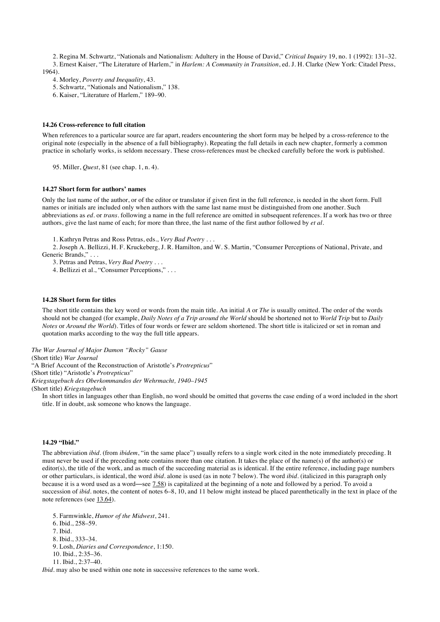2. Regina M. Schwartz, "Nationals and Nationalism: Adultery in the House of David," *Critical Inquiry* 19, no. 1 (1992): 131–32. 3. Ernest Kaiser, "The Literature of Harlem," in *Harlem: A Community in Transition*, ed. J. H. Clarke (New York: Citadel Press,

1964).

- 4. Morley, *Poverty and Inequality*, 43.
- 5. Schwartz, "Nationals and Nationalism," 138.
- 6. Kaiser, "Literature of Harlem," 189–90.

### **14.26 Cross-reference to full citation**

When references to a particular source are far apart, readers encountering the short form may be helped by a cross-reference to the original note (especially in the absence of a full bibliography). Repeating the full details in each new chapter, formerly a common practice in scholarly works, is seldom necessary. These cross-references must be checked carefully before the work is published.

95. Miller, *Quest*, 81 (see chap. 1, n. 4).

# **14.27 Short form for authors' names**

Only the last name of the author, or of the editor or translator if given first in the full reference, is needed in the short form. Full names or initials are included only when authors with the same last name must be distinguished from one another. Such abbreviations as *ed.* or *trans.* following a name in the full reference are omitted in subsequent references. If a work has two or three authors, give the last name of each; for more than three, the last name of the first author followed by *et al.*

1. Kathryn Petras and Ross Petras, eds., *Very Bad Poetry* . . .

2. Joseph A. Bellizzi, H. F. Kruckeberg, J. R. Hamilton, and W. S. Martin, "Consumer Perceptions of National, Private, and Generic Brands," . . .

- 3. Petras and Petras, *Very Bad Poetry* . . .
- 4. Bellizzi et al., "Consumer Perceptions," . . .

#### **14.28 Short form for titles**

The short title contains the key word or words from the main title. An initial *A* or *The* is usually omitted. The order of the words should not be changed (for example, *Daily Notes of a Trip around the World* should be shortened not to *World Trip* but to *Daily Notes* or *Around the World*). Titles of four words or fewer are seldom shortened. The short title is italicized or set in roman and quotation marks according to the way the full title appears.

*The War Journal of Major Damon "Rocky" Gause*

(Short title) *War Journal*

"A Brief Account of the Reconstruction of Aristotle's *Protrepticus*"

(Short title) "Aristotle's *Protrepticus*"

*Kriegstagebuch des Oberkommandos der Wehrmacht, 1940–1945*

(Short title) *Kriegstagebuch*

In short titles in languages other than English, no word should be omitted that governs the case ending of a word included in the short title. If in doubt, ask someone who knows the language.

## **14.29 "Ibid."**

The abbreviation *ibid.* (from *ibidem*, "in the same place") usually refers to a single work cited in the note immediately preceding. It must never be used if the preceding note contains more than one citation. It takes the place of the name(s) of the author(s) or editor(s), the title of the work, and as much of the succeeding material as is identical. If the entire reference, including page numbers or other particulars, is identical, the word *ibid.* alone is used (as in note 7 below). The word *ibid.* (italicized in this paragraph only because it is a word used as a word—see 7.58) is capitalized at the beginning of a note and followed by a period. To avoid a succession of *ibid*, notes, the content of notes 6–8, 10, and 11 below might instead be placed parenthetically in the text in place of the note references (see 13.64).

5. Farmwinkle, *Humor of the Midwest*, 241. 6. Ibid., 258–59. 7. Ibid. 8. Ibid., 333–34. 9. Losh, *Diaries and Correspondence*, 1:150. 10. Ibid., 2:35–36. 11. Ibid., 2:37–40.

*Ibid.* may also be used within one note in successive references to the same work.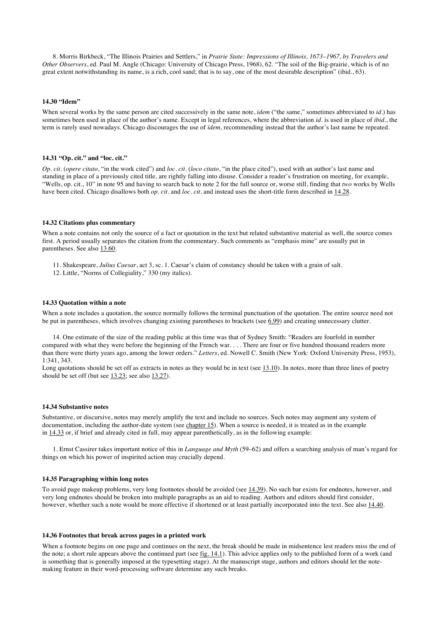8. Morris Birkbeck, "The Illinois Prairies and Settlers," in *Prairie State: Impressions of Illinois, 1673–1967, by Travelers and Other Observers*, ed. Paul M. Angle (Chicago: University of Chicago Press, 1968), 62. "The soil of the Big-prairie, which is of no great extent notwithstanding its name, is a rich, cool sand; that is to say, one of the most desirable description" (ibid., 63).

## **14.30 "Idem"**

When several works by the same person are cited successively in the same note, *idem* ("the same," sometimes abbreviated to *id.*) has sometimes been used in place of the author's name. Except in legal references, where the abbreviation *id.* is used in place of *ibid.*, the term is rarely used nowadays. Chicago discourages the use of *idem*, recommending instead that the author's last name be repeated.

## **14.31 "Op. cit." and "loc. cit."**

*Op. cit.* (*opere citato*, "in the work cited") and *loc. cit.* (*loco citato*, "in the place cited"), used with an author's last name and standing in place of a previously cited title, are rightly falling into disuse. Consider a reader's frustration on meeting, for example, "Wells, op. cit., 10" in note 95 and having to search back to note 2 for the full source or, worse still, finding that *two* works by Wells have been cited. Chicago disallows both *op. cit.* and *loc. cit.* and instead uses the short-title form described in 14.28.

#### **14.32 Citations plus commentary**

When a note contains not only the source of a fact or quotation in the text but related substantive material as well, the source comes first. A period usually separates the citation from the commentary. Such comments as "emphasis mine" are usually put in parentheses. See also 13.60.

- 11. Shakespeare, *Julius Caesar*, act 3, sc. 1. Caesar's claim of constancy should be taken with a grain of salt.
- 12. Little, "Norms of Collegiality," 330 (my italics).

### **14.33 Quotation within a note**

When a note includes a quotation, the source normally follows the terminal punctuation of the quotation. The entire source need not be put in parentheses, which involves changing existing parentheses to brackets (see 6.99) and creating unnecessary clutter.

14. One estimate of the size of the reading public at this time was that of Sydney Smith: "Readers are fourfold in number compared with what they were before the beginning of the French war. . . . There are four or five hundred thousand readers more than there were thirty years ago, among the lower orders." *Letters*, ed. Nowell C. Smith (New York: Oxford University Press, 1953), 1:341, 343.

Long quotations should be set off as extracts in notes as they would be in text (see 13.10). In notes, more than three lines of poetry should be set off (but see  $13.23$ ; see also  $13.27$ ).

#### **14.34 Substantive notes**

Substantive, or discursive, notes may merely amplify the text and include no sources. Such notes may augment any system of documentation, including the author-date system (see chapter 15). When a source is needed, it is treated as in the example in 14.33 or, if brief and already cited in full, may appear parenthetically, as in the following example:

1. Ernst Cassirer takes important notice of this in *Language and Myth* (59–62) and offers a searching analysis of man's regard for things on which his power of inspirited action may crucially depend.

#### **14.35 Paragraphing within long notes**

To avoid page makeup problems, very long footnotes should be avoided (see 14.39). No such bar exists for endnotes, however, and very long endnotes should be broken into multiple paragraphs as an aid to reading. Authors and editors should first consider, however, whether such a note would be more effective if shortened or at least partially incorporated into the text. See also 14.40.

#### **14.36 Footnotes that break across pages in a printed work**

When a footnote begins on one page and continues on the next, the break should be made in midsentence lest readers miss the end of the note; a short rule appears above the continued part (see fig. 14.1). This advice applies only to the published form of a work (and is something that is generally imposed at the typesetting stage). At the manuscript stage, authors and editors should let the notemaking feature in their word-processing software determine any such breaks.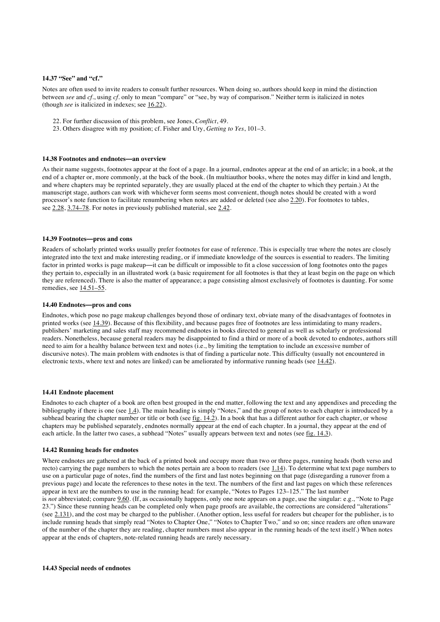### **14.37 "See" and "cf."**

Notes are often used to invite readers to consult further resources. When doing so, authors should keep in mind the distinction between *see* and *cf.*, using *cf.* only to mean "compare" or "see, by way of comparison." Neither term is italicized in notes (though *see* is italicized in indexes; see 16.22).

- 22. For further discussion of this problem, see Jones, *Conflict*, 49.
- 23. Others disagree with my position; cf. Fisher and Ury, *Getting to Yes*, 101–3.

#### **14.38 Footnotes and endnotes—an overview**

As their name suggests, footnotes appear at the foot of a page. In a journal, endnotes appear at the end of an article; in a book, at the end of a chapter or, more commonly, at the back of the book. (In multiauthor books, where the notes may differ in kind and length, and where chapters may be reprinted separately, they are usually placed at the end of the chapter to which they pertain.) At the manuscript stage, authors can work with whichever form seems most convenient, though notes should be created with a word processor's note function to facilitate renumbering when notes are added or deleted (see also 2.20). For footnotes to tables, see 2.28, 3.74–78. For notes in previously published material, see 2.42.

## **14.39 Footnotes—pros and cons**

Readers of scholarly printed works usually prefer footnotes for ease of reference. This is especially true where the notes are closely integrated into the text and make interesting reading, or if immediate knowledge of the sources is essential to readers. The limiting factor in printed works is page makeup—it can be difficult or impossible to fit a close succession of long footnotes onto the pages they pertain to, especially in an illustrated work (a basic requirement for all footnotes is that they at least begin on the page on which they are referenced). There is also the matter of appearance; a page consisting almost exclusively of footnotes is daunting. For some remedies, see 14.51–55.

## **14.40 Endnotes—pros and cons**

Endnotes, which pose no page makeup challenges beyond those of ordinary text, obviate many of the disadvantages of footnotes in printed works (see 14.39). Because of this flexibility, and because pages free of footnotes are less intimidating to many readers, publishers' marketing and sales staff may recommend endnotes in books directed to general as well as scholarly or professional readers. Nonetheless, because general readers may be disappointed to find a third or more of a book devoted to endnotes, authors still need to aim for a healthy balance between text and notes (i.e., by limiting the temptation to include an excessive number of discursive notes). The main problem with endnotes is that of finding a particular note. This difficulty (usually not encountered in electronic texts, where text and notes are linked) can be ameliorated by informative running heads (see 14.42).

## **14.41 Endnote placement**

Endnotes to each chapter of a book are often best grouped in the end matter, following the text and any appendixes and preceding the bibliography if there is one (see  $1.4$ ). The main heading is simply "Notes," and the group of notes to each chapter is introduced by a subhead bearing the chapter number or title or both (see  $\underline{fig}$ , 14.2). In a book that has a different author for each chapter, or whose chapters may be published separately, endnotes normally appear at the end of each chapter. In a journal, they appear at the end of each article. In the latter two cases, a subhead "Notes" usually appears between text and notes (see fig. 14.3).

### **14.42 Running heads for endnotes**

Where endnotes are gathered at the back of a printed book and occupy more than two or three pages, running heads (both verso and recto) carrying the page numbers to which the notes pertain are a boon to readers (see  $1.14$ ). To determine what text page numbers to use on a particular page of notes, find the numbers of the first and last notes beginning on that page (disregarding a runover from a previous page) and locate the references to these notes in the text. The numbers of the first and last pages on which these references appear in text are the numbers to use in the running head: for example, "Notes to Pages 123–125." The last number is *not* abbreviated; compare 9.60. (If, as occasionally happens, only one note appears on a page, use the singular: e.g., "Note to Page 23.") Since these running heads can be completed only when page proofs are available, the corrections are considered "alterations" (see 2.131), and the cost may be charged to the publisher. (Another option, less useful for readers but cheaper for the publisher, is to

include running heads that simply read "Notes to Chapter One," "Notes to Chapter Two," and so on; since readers are often unaware of the number of the chapter they are reading, chapter numbers must also appear in the running heads of the text itself.) When notes appear at the ends of chapters, note-related running heads are rarely necessary.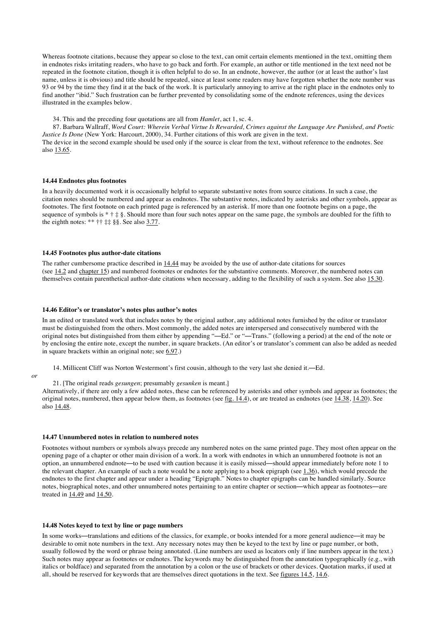Whereas footnote citations, because they appear so close to the text, can omit certain elements mentioned in the text, omitting them in endnotes risks irritating readers, who have to go back and forth. For example, an author or title mentioned in the text need not be repeated in the footnote citation, though it is often helpful to do so. In an endnote, however, the author (or at least the author's last name, unless it is obvious) and title should be repeated, since at least some readers may have forgotten whether the note number was 93 or 94 by the time they find it at the back of the work. It is particularly annoying to arrive at the right place in the endnotes only to find another "ibid." Such frustration can be further prevented by consolidating some of the endnote references, using the devices illustrated in the examples below.

34. This and the preceding four quotations are all from *Hamlet*, act 1, sc. 4.

87. Barbara Wallraff, *Word Court: Wherein Verbal Virtue Is Rewarded, Crimes against the Language Are Punished, and Poetic Justice Is Done* (New York: Harcourt, 2000), 34. Further citations of this work are given in the text. The device in the second example should be used only if the source is clear from the text, without reference to the endnotes. See also 13.65.

## **14.44 Endnotes plus footnotes**

In a heavily documented work it is occasionally helpful to separate substantive notes from source citations. In such a case, the citation notes should be numbered and appear as endnotes. The substantive notes, indicated by asterisks and other symbols, appear as footnotes. The first footnote on each printed page is referenced by an asterisk. If more than one footnote begins on a page, the sequence of symbols is \*  $\dagger \ddagger \xi$ . Should more than four such notes appear on the same page, the symbols are doubled for the fifth to the eighth notes: \*\*  $\dagger \ddagger \ddagger \ddagger \S$ §. See also 3.77.

#### **14.45 Footnotes plus author-date citations**

The rather cumbersome practice described in 14.44 may be avoided by the use of author-date citations for sources (see 14.2 and chapter 15) and numbered footnotes or endnotes for the substantive comments. Moreover, the numbered notes can themselves contain parenthetical author-date citations when necessary, adding to the flexibility of such a system. See also 15.30.

#### **14.46 Editor's or translator's notes plus author's notes**

In an edited or translated work that includes notes by the original author, any additional notes furnished by the editor or translator must be distinguished from the others. Most commonly, the added notes are interspersed and consecutively numbered with the original notes but distinguished from them either by appending "—Ed." or "—Trans." (following a period) at the end of the note or by enclosing the entire note, except the number, in square brackets. (An editor's or translator's comment can also be added as needed in square brackets within an original note; see 6.97.)

14. Millicent Cliff was Norton Westermont's first cousin, although to the very last she denied it.—Ed.

## *or*

21. [The original reads *gesungen*; presumably *gesunken* is meant.]

Alternatively, if there are only a few added notes, these can be referenced by asterisks and other symbols and appear as footnotes; the original notes, numbered, then appear below them, as footnotes (see  $\underline{fig}$ . 14.4), or are treated as endnotes (see  $\underline{14.38}$ ,  $\underline{14.20}$ ). See also 14.48.

#### **14.47 Unnumbered notes in relation to numbered notes**

Footnotes without numbers or symbols always precede any numbered notes on the same printed page. They most often appear on the opening page of a chapter or other main division of a work. In a work with endnotes in which an unnumbered footnote is not an option, an unnumbered endnote—to be used with caution because it is easily missed—should appear immediately before note 1 to the relevant chapter. An example of such a note would be a note applying to a book epigraph (see 1.36), which would precede the endnotes to the first chapter and appear under a heading "Epigraph." Notes to chapter epigraphs can be handled similarly. Source notes, biographical notes, and other unnumbered notes pertaining to an entire chapter or section—which appear as footnotes—are treated in  $\overline{14.49}$  and  $\overline{14.50}$ .

#### **14.48 Notes keyed to text by line or page numbers**

In some works—translations and editions of the classics, for example, or books intended for a more general audience—it may be desirable to omit note numbers in the text. Any necessary notes may then be keyed to the text by line or page number, or both, usually followed by the word or phrase being annotated. (Line numbers are used as locators only if line numbers appear in the text.) Such notes may appear as footnotes or endnotes. The keywords may be distinguished from the annotation typographically (e.g., with italics or boldface) and separated from the annotation by a colon or the use of brackets or other devices. Quotation marks, if used at all, should be reserved for keywords that are themselves direct quotations in the text. See figures 14.5, 14.6.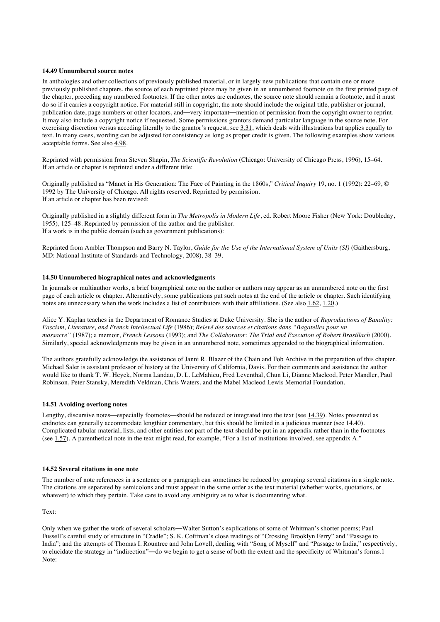## **14.49 Unnumbered source notes**

In anthologies and other collections of previously published material, or in largely new publications that contain one or more previously published chapters, the source of each reprinted piece may be given in an unnumbered footnote on the first printed page of the chapter, preceding any numbered footnotes. If the other notes are endnotes, the source note should remain a footnote, and it must do so if it carries a copyright notice. For material still in copyright, the note should include the original title, publisher or journal, publication date, page numbers or other locators, and—very important—mention of permission from the copyright owner to reprint. It may also include a copyright notice if requested. Some permissions grantors demand particular language in the source note. For exercising discretion versus acceding literally to the grantor's request, see 3.31, which deals with illustrations but applies equally to text. In many cases, wording can be adjusted for consistency as long as proper credit is given. The following examples show various acceptable forms. See also 4.98.

Reprinted with permission from Steven Shapin, *The Scientific Revolution* (Chicago: University of Chicago Press, 1996), 15–64. If an article or chapter is reprinted under a different title:

Originally published as "Manet in His Generation: The Face of Painting in the 1860s," *Critical Inquiry* 19, no. 1 (1992): 22–69, © 1992 by The University of Chicago. All rights reserved. Reprinted by permission. If an article or chapter has been revised:

Originally published in a slightly different form in *The Metropolis in Modern Life*, ed. Robert Moore Fisher (New York: Doubleday, 1955), 125–48. Reprinted by permission of the author and the publisher. If a work is in the public domain (such as government publications):

Reprinted from Ambler Thompson and Barry N. Taylor, *Guide for the Use of the International System of Units (SI)* (Gaithersburg, MD: National Institute of Standards and Technology, 2008), 38–39.

## **14.50 Unnumbered biographical notes and acknowledgments**

In journals or multiauthor works, a brief biographical note on the author or authors may appear as an unnumbered note on the first page of each article or chapter. Alternatively, some publications put such notes at the end of the article or chapter. Such identifying notes are unnecessary when the work includes a list of contributors with their affiliations. (See also  $1.62$ ,  $1.20$ .)

Alice Y. Kaplan teaches in the Department of Romance Studies at Duke University. She is the author of *Reproductions of Banality: Fascism, Literature, and French Intellectual Life* (1986); *Relevé des sources et citations dans "Bagatelles pour un massacre"* (1987); a memoir, *French Lessons* (1993); and *The Collaborator: The Trial and Execution of Robert Brasillach* (2000). Similarly, special acknowledgments may be given in an unnumbered note, sometimes appended to the biographical information.

The authors gratefully acknowledge the assistance of Janni R. Blazer of the Chain and Fob Archive in the preparation of this chapter. Michael Saler is assistant professor of history at the University of California, Davis. For their comments and assistance the author would like to thank T. W. Heyck, Norma Landau, D. L. LeMahieu, Fred Leventhal, Chun Li, Dianne Macleod, Peter Mandler, Paul Robinson, Peter Stansky, Meredith Veldman, Chris Waters, and the Mabel Macleod Lewis Memorial Foundation.

### **14.51 Avoiding overlong notes**

Lengthy, discursive notes—especially footnotes—should be reduced or integrated into the text (see  $14.39$ ). Notes presented as endnotes can generally accommodate lengthier commentary, but this should be limited in a judicious manner (see 14.40). Complicated tabular material, lists, and other entities not part of the text should be put in an appendix rather than in the footnotes (see 1.57). A parenthetical note in the text might read, for example, "For a list of institutions involved, see appendix A."

## **14.52 Several citations in one note**

The number of note references in a sentence or a paragraph can sometimes be reduced by grouping several citations in a single note. The citations are separated by semicolons and must appear in the same order as the text material (whether works, quotations, or whatever) to which they pertain. Take care to avoid any ambiguity as to what is documenting what.

Text:

Only when we gather the work of several scholars—Walter Sutton's explications of some of Whitman's shorter poems; Paul Fussell's careful study of structure in "Cradle"; S. K. Coffman's close readings of "Crossing Brooklyn Ferry" and "Passage to India"; and the attempts of Thomas I. Rountree and John Lovell, dealing with "Song of Myself" and "Passage to India," respectively, to elucidate the strategy in "indirection"—do we begin to get a sense of both the extent and the specificity of Whitman's forms.1 Note: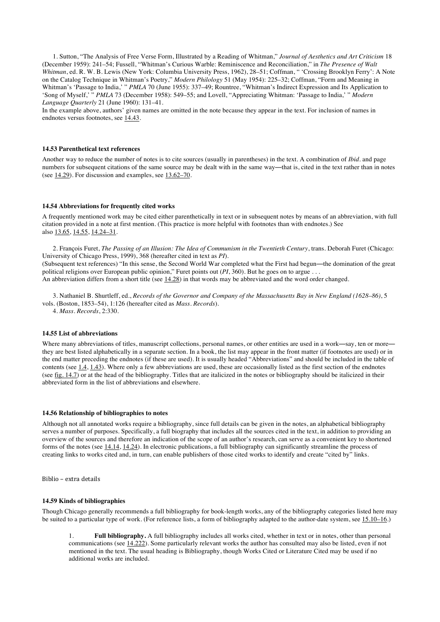1. Sutton, "The Analysis of Free Verse Form, Illustrated by a Reading of Whitman," *Journal of Aesthetics and Art Criticism* 18 (December 1959): 241–54; Fussell, "Whitman's Curious Warble: Reminiscence and Reconciliation," in *The Presence of Walt Whitman*, ed. R. W. B. Lewis (New York: Columbia University Press, 1962), 28–51; Coffman, " 'Crossing Brooklyn Ferry': A Note on the Catalog Technique in Whitman's Poetry," *Modern Philology* 51 (May 1954): 225–32; Coffman, "Form and Meaning in Whitman's 'Passage to India,' " *PMLA* 70 (June 1955): 337–49; Rountree, "Whitman's Indirect Expression and Its Application to 'Song of Myself,' " *PMLA* 73 (December 1958): 549–55; and Lovell, "Appreciating Whitman: 'Passage to India,' " *Modern Language Quarterly* 21 (June 1960): 131–41.

In the example above, authors' given names are omitted in the note because they appear in the text. For inclusion of names in endnotes versus footnotes, see 14.43.

## **14.53 Parenthetical text references**

Another way to reduce the number of notes is to cite sources (usually in parentheses) in the text. A combination of *Ibid.* and page numbers for subsequent citations of the same source may be dealt with in the same way—that is, cited in the text rather than in notes (see  $\underline{14.29}$ ). For discussion and examples, see  $\underline{13.62-70}$ .

### **14.54 Abbreviations for frequently cited works**

A frequently mentioned work may be cited either parenthetically in text or in subsequent notes by means of an abbreviation, with full citation provided in a note at first mention. (This practice is more helpful with footnotes than with endnotes.) See also 13.65, 14.55, 14.24–31.

2. François Furet, *The Passing of an Illusion: The Idea of Communism in the Twentieth Century*, trans. Deborah Furet (Chicago: University of Chicago Press, 1999), 368 (hereafter cited in text as *PI*).

(Subsequent text references) "In this sense, the Second World War completed what the First had begun—the domination of the great political religions over European public opinion," Furet points out (*PI*, 360). But he goes on to argue . . . An abbreviation differs from a short title (see  $14.28$ ) in that words may be abbreviated and the word order changed.

3. Nathaniel B. Shurtleff, ed., *Records of the Governor and Company of the Massachusetts Bay in New England (1628–86)*, 5 vols. (Boston, 1853–54), 1:126 (hereafter cited as *Mass. Records*). 4. *Mass. Records*, 2:330.

#### **14.55 List of abbreviations**

Where many abbreviations of titles, manuscript collections, personal names, or other entities are used in a work—say, ten or more they are best listed alphabetically in a separate section. In a book, the list may appear in the front matter (if footnotes are used) or in the end matter preceding the endnotes (if these are used). It is usually headed "Abbreviations" and should be included in the table of contents (see  $1.4$ ,  $1.43$ ). Where only a few abbreviations are used, these are occasionally listed as the first section of the endnotes (see fig. 14.7) or at the head of the bibliography. Titles that are italicized in the notes or bibliography should be italicized in their abbreviated form in the list of abbreviations and elsewhere.

#### **14.56 Relationship of bibliographies to notes**

Although not all annotated works require a bibliography, since full details can be given in the notes, an alphabetical bibliography serves a number of purposes. Specifically, a full biography that includes all the sources cited in the text, in addition to providing an overview of the sources and therefore an indication of the scope of an author's research, can serve as a convenient key to shortened forms of the notes (see 14.14, 14.24). In electronic publications, a full bibliography can significantly streamline the process of creating links to works cited and, in turn, can enable publishers of those cited works to identify and create "cited by" links.

Biblio - extra details

#### **14.59 Kinds of bibliographies**

Though Chicago generally recommends a full bibliography for book-length works, any of the bibliography categories listed here may be suited to a particular type of work. (For reference lists, a form of bibliography adapted to the author-date system, see 15.10–16.)

1. **Full bibliography.** A full bibliography includes all works cited, whether in text or in notes, other than personal communications (see 14.222). Some particularly relevant works the author has consulted may also be listed, even if not mentioned in the text. The usual heading is Bibliography, though Works Cited or Literature Cited may be used if no additional works are included.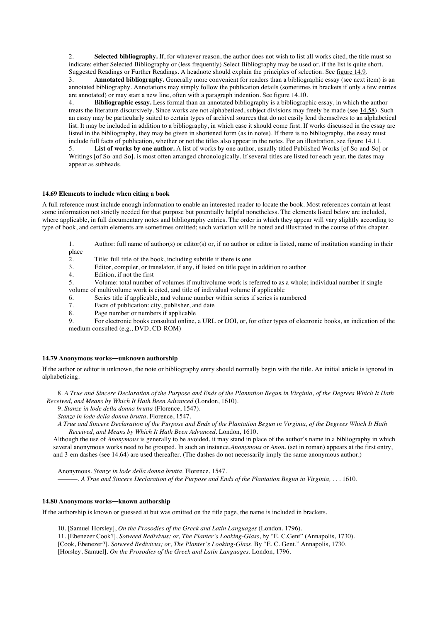2. **Selected bibliography.** If, for whatever reason, the author does not wish to list all works cited, the title must so indicate: either Selected Bibliography or (less frequently) Select Bibliography may be used or, if the list is quite short, Suggested Readings or Further Readings. A headnote should explain the principles of selection. See figure 14.9.

3. **Annotated bibliography.** Generally more convenient for readers than a bibliographic essay (see next item) is an annotated bibliography. Annotations may simply follow the publication details (sometimes in brackets if only a few entries are annotated) or may start a new line, often with a paragraph indention. See figure 14.10.

4. **Bibliographic essay.** Less formal than an annotated bibliography is a bibliographic essay, in which the author treats the literature discursively. Since works are not alphabetized, subject divisions may freely be made (see 14.58). Such an essay may be particularly suited to certain types of archival sources that do not easily lend themselves to an alphabetical list. It may be included in addition to a bibliography, in which case it should come first. If works discussed in the essay are listed in the bibliography, they may be given in shortened form (as in notes). If there is no bibliography, the essay must include full facts of publication, whether or not the titles also appear in the notes. For an illustration, see figure 14.11.

5. **List of works by one author.** A list of works by one author, usually titled Published Works [of So-and-So] or Writings [of So-and-So], is most often arranged chronologically. If several titles are listed for each year, the dates may appear as subheads.

## **14.69 Elements to include when citing a book**

A full reference must include enough information to enable an interested reader to locate the book. Most references contain at least some information not strictly needed for that purpose but potentially helpful nonetheless. The elements listed below are included, where applicable, in full documentary notes and bibliography entries. The order in which they appear will vary slightly according to type of book, and certain elements are sometimes omitted; such variation will be noted and illustrated in the course of this chapter.

1. Author: full name of author(s) or editor(s) or, if no author or editor is listed, name of institution standing in their place

2. Title: full title of the book, including subtitle if there is one

3. Editor, compiler, or translator, if any, if listed on title page in addition to author

4. Edition, if not the first<br>5. Volume: total number

5. Volume: total number of volumes if multivolume work is referred to as a whole; individual number if single volume of multivolume work is cited, and title of individual volume if applicable

6. Series title if applicable, and volume number within series if series is numbered

7. Facts of publication: city, publisher, and date<br>8. Page number or numbers if applicable

8. Page number or numbers if applicable<br>9 For electronic books consulted online

9. For electronic books consulted online, a URL or DOI, or, for other types of electronic books, an indication of the medium consulted (e.g., DVD, CD-ROM)

## **14.79 Anonymous works—unknown authorship**

If the author or editor is unknown, the note or bibliography entry should normally begin with the title. An initial article is ignored in alphabetizing.

8. *A True and Sincere Declaration of the Purpose and Ends of the Plantation Begun in Virginia, of the Degrees Which It Hath Received, and Means by Which It Hath Been Advanced* (London, 1610).

9. *Stanze in lode della donna brutta* (Florence, 1547).

*Stanze in lode della donna brutta*. Florence, 1547.

*A True and Sincere Declaration of the Purpose and Ends of the Plantation Begun in Virginia, of the Degrees Which It Hath Received, and Means by Which It Hath Been Advanced*. London, 1610.

Although the use of *Anonymous* is generally to be avoided, it may stand in place of the author's name in a bibliography in which several anonymous works need to be grouped. In such an instance,*Anonymous* or *Anon.* (set in roman) appears at the first entry, and 3-em dashes (see 14.64) are used thereafter. (The dashes do not necessarily imply the same anonymous author.)

Anonymous. *Stanze in lode della donna brutta*. Florence, 1547. ———. *A True and Sincere Declaration of the Purpose and Ends of the Plantation Begun in Virginia, . . .* 1610.

#### **14.80 Anonymous works—known authorship**

If the authorship is known or guessed at but was omitted on the title page, the name is included in brackets.

10. [Samuel Horsley], *On the Prosodies of the Greek and Latin Languages* (London, 1796).

11. [Ebenezer Cook?], *Sotweed Redivivus; or, The Planter's Looking-Glass*, by "E. C.Gent" (Annapolis, 1730).

[Cook, Ebenezer?]. *Sotweed Redivivus; or, The Planter's Looking-Glass*. By "E. C. Gent." Annapolis, 1730.

[Horsley, Samuel]. *On the Prosodies of the Greek and Latin Languages*. London, 1796.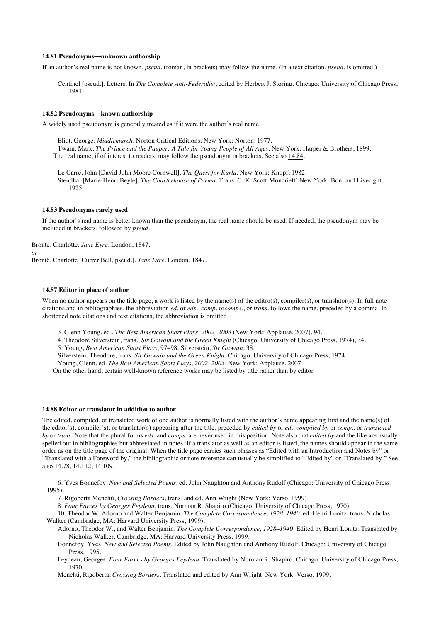### **14.81 Pseudonyms—unknown authorship**

If an author's real name is not known, *pseud.* (roman, in brackets) may follow the name. (In a text citation, *pseud.* is omitted.)

Centinel [pseud.]. Letters. In *The Complete Anti-Federalist*, edited by Herbert J. Storing. Chicago: University of Chicago Press, 1981.

#### **14.82 Pseudonyms—known authorship**

A widely used pseudonym is generally treated as if it were the author's real name.

Eliot, George. *Middlemarch*. Norton Critical Editions. New York: Norton, 1977. Twain, Mark. *The Prince and the Pauper: A Tale for Young People of All Ages*. New York: Harper & Brothers, 1899. The real name, if of interest to readers, may follow the pseudonym in brackets. See also 14.84.

Le Carré, John [David John Moore Cornwell]. *The Quest for Karla*. New York: Knopf, 1982. Stendhal [Marie-Henri Beyle]. *The Charterhouse of Parma*. Trans. C. K. Scott-Moncrieff. New York: Boni and Liveright, 1925.

#### **14.83 Pseudonyms rarely used**

If the author's real name is better known than the pseudonym, the real name should be used. If needed, the pseudonym may be included in brackets, followed by *pseud.*

Brontë, Charlotte. *Jane Eyre*. London, 1847. *or*

Brontë, Charlotte [Currer Bell, pseud.]. *Jane Eyre*. London, 1847.

## **14.87 Editor in place of author**

When no author appears on the title page, a work is listed by the name(s) of the editor(s), compiler(s), or translator(s). In full note citations and in bibliographies, the abbreviation *ed.* or *eds.*, *comp.* or*comps.*, or *trans.* follows the name, preceded by a comma. In shortened note citations and text citations, the abbreviation is omitted.

- 3. Glenn Young, ed., *The Best American Short Plays, 2002–2003* (New York: Applause, 2007), 94.
- 4. Theodore Silverstein, trans., *Sir Gawain and the Green Knight* (Chicago: University of Chicago Press, 1974), 34.
- 5. Young, *Best American Short Plays*, 97–98; Silverstein, *Sir Gawain*, 38.

Silverstein, Theodore, trans. *Sir Gawain and the Green Knight*. Chicago: University of Chicago Press, 1974.

Young, Glenn, ed. *The Best American Short Plays, 2002–2003*. New York: Applause, 2007.

On the other hand, certain well-known reference works may be listed by title rather than by editor

### **14.88 Editor or translator in addition to author**

The edited, compiled, or translated work of one author is normally listed with the author's name appearing first and the name(s) of the editor(s), compiler(s), or translator(s) appearing after the title, preceded by *edited by* or *ed.*, *compiled by* or *comp.*, or *translated by* or *trans.* Note that the plural forms *eds.* and *comps.* are never used in this position. Note also that *edited by* and the like are usually spelled out in bibliographies but abbreviated in notes. If a translator as well as an editor is listed, the names should appear in the same order as on the title page of the original. When the title page carries such phrases as "Edited with an Introduction and Notes by" or "Translated with a Foreword by," the bibliographic or note reference can usually be simplified to "Edited by" or "Translated by." See also 14.78, 14.112, 14.109.

6. Yves Bonnefoy, *New and Selected Poems*, ed. John Naughton and Anthony Rudolf (Chicago: University of Chicago Press, 1995).

7. Rigoberta Menchú, *Crossing Borders*, trans. and ed. Ann Wright (New York: Verso, 1999).

8. *Four Farces by Georges Feydeau*, trans. Norman R. Shapiro (Chicago: University of Chicago Press, 1970).

10. Theodor W. Adorno and Walter Benjamin, *The Complete Correspondence, 1928–1940*, ed. Henri Lonitz, trans. Nicholas Walker (Cambridge, MA: Harvard University Press, 1999).

Adorno, Theodor W., and Walter Benjamin. *The Complete Correspondence, 1928–1940*. Edited by Henri Lonitz. Translated by Nicholas Walker. Cambridge, MA: Harvard University Press, 1999.

Bonnefoy, Yves. *New and Selected Poems*. Edited by John Naughton and Anthony Rudolf. Chicago: University of Chicago Press, 1995.

Feydeau, Georges. *Four Farces by Georges Feydeau*. Translated by Norman R. Shapiro. Chicago: University of Chicago Press, 1970.

Menchú, Rigoberta. *Crossing Borders*. Translated and edited by Ann Wright. New York: Verso, 1999.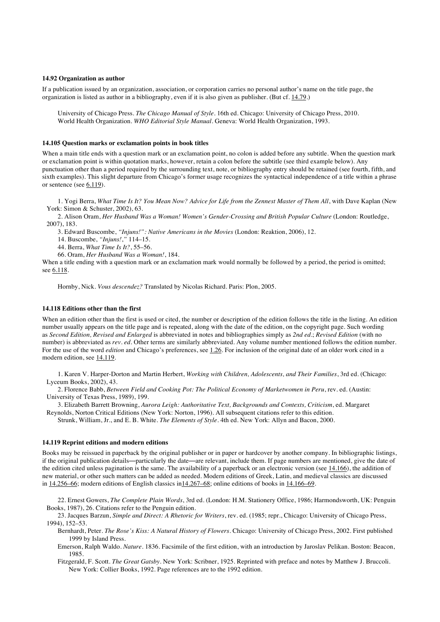#### **14.92 Organization as author**

If a publication issued by an organization, association, or corporation carries no personal author's name on the title page, the organization is listed as author in a bibliography, even if it is also given as publisher. (But cf. 14.79.)

University of Chicago Press. *The Chicago Manual of Style*. 16th ed. Chicago: University of Chicago Press, 2010. World Health Organization. *WHO Editorial Style Manual*. Geneva: World Health Organization, 1993.

## **14.105 Question marks or exclamation points in book titles**

When a main title ends with a question mark or an exclamation point, no colon is added before any subtitle. When the question mark or exclamation point is within quotation marks, however, retain a colon before the subtitle (see third example below). Any punctuation other than a period required by the surrounding text, note, or bibliography entry should be retained (see fourth, fifth, and sixth examples). This slight departure from Chicago's former usage recognizes the syntactical independence of a title within a phrase or sentence (see 6.119).

1. Yogi Berra, *What Time Is It? You Mean Now? Advice for Life from the Zennest Master of Them All*, with Dave Kaplan (New York: Simon & Schuster, 2002), 63.

2. Alison Oram, *Her Husband Was a Woman! Women's Gender-Crossing and British Popular Culture* (London: Routledge, 2007), 183.

3. Edward Buscombe, *"Injuns!": Native Americans in the Movies* (London: Reaktion, 2006), 12.

14. Buscombe, *"Injuns!*,*"* 114–15.

44. Berra, *What Time Is It?*, 55–56.

66. Oram, *Her Husband Was a Woman!*, 184.

When a title ending with a question mark or an exclamation mark would normally be followed by a period, the period is omitted; see 6.118.

Hornby, Nick. *Vous descendez?* Translated by Nicolas Richard. Paris: Plon, 2005.

#### **14.118 Editions other than the first**

When an edition other than the first is used or cited, the number or description of the edition follows the title in the listing. An edition number usually appears on the title page and is repeated, along with the date of the edition, on the copyright page. Such wording as *Second Edition, Revised and Enlarged* is abbreviated in notes and bibliographies simply as *2nd ed.*; *Revised Edition* (with no number) is abbreviated as *rev. ed.* Other terms are similarly abbreviated. Any volume number mentioned follows the edition number. For the use of the word *edition* and Chicago's preferences, see 1.26. For inclusion of the original date of an older work cited in a modern edition, see 14.119.

1. Karen V. Harper-Dorton and Martin Herbert, *Working with Children, Adolescents, and Their Families*, 3rd ed. (Chicago: Lyceum Books, 2002), 43.

2. Florence Babb, *Between Field and Cooking Pot: The Political Economy of Marketwomen in Peru*, rev. ed. (Austin: University of Texas Press, 1989), 199.

3. Elizabeth Barrett Browning, *Aurora Leigh: Authoritative Text, Backgrounds and Contexts, Criticism*, ed. Margaret Reynolds, Norton Critical Editions (New York: Norton, 1996). All subsequent citations refer to this edition.

Strunk, William, Jr., and E. B. White. *The Elements of Style*. 4th ed. New York: Allyn and Bacon, 2000.

#### **14.119 Reprint editions and modern editions**

Books may be reissued in paperback by the original publisher or in paper or hardcover by another company. In bibliographic listings, if the original publication details—particularly the date—are relevant, include them. If page numbers are mentioned, give the date of the edition cited unless pagination is the same. The availability of a paperback or an electronic version (see 14.166), the addition of new material, or other such matters can be added as needed. Modern editions of Greek, Latin, and medieval classics are discussed in 14.256–66; modern editions of English classics in14.267–68; online editions of books in 14.166–69.

22. Ernest Gowers, *The Complete Plain Words*, 3rd ed. (London: H.M. Stationery Office, 1986; Harmondsworth, UK: Penguin Books, 1987), 26. Citations refer to the Penguin edition.

23. Jacques Barzun, *Simple and Direct: A Rhetoric for Writers*, rev. ed. (1985; repr., Chicago: University of Chicago Press, 1994), 152–53.

- Bernhardt, Peter. *The Rose's Kiss: A Natural History of Flowers*. Chicago: University of Chicago Press, 2002. First published 1999 by Island Press.
- Emerson, Ralph Waldo. *Nature*. 1836. Facsimile of the first edition, with an introduction by Jaroslav Pelikan. Boston: Beacon, 1985.
- Fitzgerald, F. Scott. *The Great Gatsby*. New York: Scribner, 1925. Reprinted with preface and notes by Matthew J. Bruccoli. New York: Collier Books, 1992. Page references are to the 1992 edition.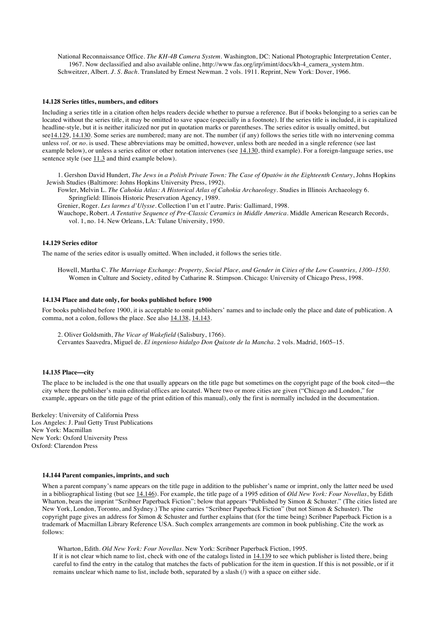National Reconnaissance Office. *The KH-4B Camera System*. Washington, DC: National Photographic Interpretation Center, 1967. Now declassified and also available online, http://www.fas.org/irp/imint/docs/kh-4\_camera\_system.htm. Schweitzer, Albert. *J. S. Bach*. Translated by Ernest Newman. 2 vols. 1911. Reprint, New York: Dover, 1966.

## **14.128 Series titles, numbers, and editors**

Including a series title in a citation often helps readers decide whether to pursue a reference. But if books belonging to a series can be located without the series title, it may be omitted to save space (especially in a footnote). If the series title is included, it is capitalized headline-style, but it is neither italicized nor put in quotation marks or parentheses. The series editor is usually omitted, but see14.129, 14.130. Some series are numbered; many are not. The number (if any) follows the series title with no intervening comma unless *vol.* or *no.* is used. These abbreviations may be omitted, however, unless both are needed in a single reference (see last example below), or unless a series editor or other notation intervenes (see 14.130, third example). For a foreign-language series, use sentence style (see 11.3 and third example below).

1. Gershon David Hundert, *The Jews in a Polish Private Town: The Case of Opatów in the Eighteenth Century*, Johns Hopkins Jewish Studies (Baltimore: Johns Hopkins University Press, 1992).

Fowler, Melvin L. *The Cahokia Atlas: A Historical Atlas of Cahokia Archaeology*. Studies in Illinois Archaeology 6. Springfield: Illinois Historic Preservation Agency, 1989.

Grenier, Roger. *Les larmes d'Ulysse*. Collection l'un et l'autre. Paris: Gallimard, 1998.

Wauchope, Robert. *A Tentative Sequence of Pre-Classic Ceramics in Middle America*. Middle American Research Records, vol. 1, no. 14. New Orleans, LA: Tulane University, 1950.

## **14.129 Series editor**

The name of the series editor is usually omitted. When included, it follows the series title.

Howell, Martha C. *The Marriage Exchange: Property, Social Place, and Gender in Cities of the Low Countries, 1300–1550*. Women in Culture and Society, edited by Catharine R. Stimpson. Chicago: University of Chicago Press, 1998.

#### **14.134 Place and date only, for books published before 1900**

For books published before 1900, it is acceptable to omit publishers' names and to include only the place and date of publication. A comma, not a colon, follows the place. See also 14.138, 14.143.

2. Oliver Goldsmith, *The Vicar of Wakefield* (Salisbury, 1766). Cervantes Saavedra, Miguel de. *El ingenioso hidalgo Don Quixote de la Mancha*. 2 vols. Madrid, 1605–15.

#### **14.135 Place—city**

The place to be included is the one that usually appears on the title page but sometimes on the copyright page of the book cited—the city where the publisher's main editorial offices are located. Where two or more cities are given ("Chicago and London," for example, appears on the title page of the print edition of this manual), only the first is normally included in the documentation.

Berkeley: University of California Press Los Angeles: J. Paul Getty Trust Publications New York: Macmillan New York: Oxford University Press Oxford: Clarendon Press

## **14.144 Parent companies, imprints, and such**

When a parent company's name appears on the title page in addition to the publisher's name or imprint, only the latter need be used in a bibliographical listing (but see 14.146). For example, the title page of a 1995 edition of *Old New York: Four Novellas*, by Edith Wharton, bears the imprint "Scribner Paperback Fiction"; below that appears "Published by Simon & Schuster." (The cities listed are New York, London, Toronto, and Sydney.) The spine carries "Scribner Paperback Fiction" (but not Simon & Schuster). The copyright page gives an address for Simon & Schuster and further explains that (for the time being) Scribner Paperback Fiction is a trademark of Macmillan Library Reference USA. Such complex arrangements are common in book publishing. Cite the work as follows:

Wharton, Edith. *Old New York: Four Novellas*. New York: Scribner Paperback Fiction, 1995. If it is not clear which name to list, check with one of the catalogs listed in 14.139 to see which publisher is listed there, being careful to find the entry in the catalog that matches the facts of publication for the item in question. If this is not possible, or if it remains unclear which name to list, include both, separated by a slash (/) with a space on either side.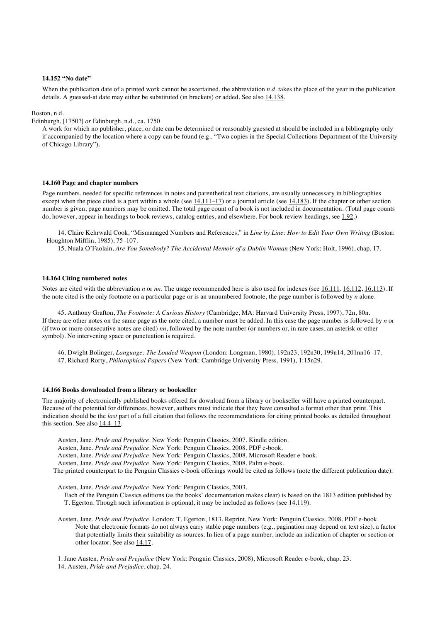### **14.152 "No date"**

When the publication date of a printed work cannot be ascertained, the abbreviation *n.d.* takes the place of the year in the publication details. A guessed-at date may either be substituted (in brackets) or added. See also 14.138.

#### Boston, n.d.

Edinburgh, [1750?] *or* Edinburgh, n.d., ca. 1750

A work for which no publisher, place, or date can be determined or reasonably guessed at should be included in a bibliography only if accompanied by the location where a copy can be found (e.g., "Two copies in the Special Collections Department of the University of Chicago Library").

### **14.160 Page and chapter numbers**

Page numbers, needed for specific references in notes and parenthetical text citations, are usually unnecessary in bibliographies except when the piece cited is a part within a whole (see 14.111–17) or a journal article (see 14.183). If the chapter or other section number is given, page numbers may be omitted. The total page count of a book is not included in documentation. (Total page counts do, however, appear in headings to book reviews, catalog entries, and elsewhere. For book review headings, see 1.92.)

14. Claire Kehrwald Cook, "Mismanaged Numbers and References," in *Line by Line: How to Edit Your Own Writing* (Boston: Houghton Mifflin, 1985), 75–107.

15. Nuala O'Faolain, *Are You Somebody? The Accidental Memoir of a Dublin Woman* (New York: Holt, 1996), chap. 17.

## **14.164 Citing numbered notes**

Notes are cited with the abbreviation *n* or *nn*. The usage recommended here is also used for indexes (see 16.111, 16.112, 16.113). If the note cited is the only footnote on a particular page or is an unnumbered footnote, the page number is followed by *n* alone.

45. Anthony Grafton, *The Footnote: A Curious History* (Cambridge, MA: Harvard University Press, 1997), 72n, 80n. If there are other notes on the same page as the note cited, a number must be added. In this case the page number is followed by *n* or (if two or more consecutive notes are cited) *nn*, followed by the note number (or numbers or, in rare cases, an asterisk or other symbol). No intervening space or punctuation is required.

46. Dwight Bolinger, *Language: The Loaded Weapon* (London: Longman, 1980), 192n23, 192n30, 199n14, 201nn16–17.

47. Richard Rorty, *Philosophical Papers* (New York: Cambridge University Press, 1991), 1:15n29.

#### **14.166 Books downloaded from a library or bookseller**

The majority of electronically published books offered for download from a library or bookseller will have a printed counterpart. Because of the potential for differences, however, authors must indicate that they have consulted a format other than print. This indication should be the *last* part of a full citation that follows the recommendations for citing printed books as detailed throughout this section. See also  $14.4-13$ .

Austen, Jane. *Pride and Prejudice*. New York: Penguin Classics, 2007. Kindle edition.

Austen, Jane. *Pride and Prejudice*. New York: Penguin Classics, 2008. PDF e-book.

Austen, Jane. *Pride and Prejudice*. New York: Penguin Classics, 2008. Microsoft Reader e-book.

Austen, Jane. *Pride and Prejudice*. New York: Penguin Classics, 2008. Palm e-book.

The printed counterpart to the Penguin Classics e-book offerings would be cited as follows (note the different publication date):

Austen, Jane. *Pride and Prejudice*. New York: Penguin Classics, 2003.

Each of the Penguin Classics editions (as the books' documentation makes clear) is based on the 1813 edition published by T. Egerton. Though such information is optional, it may be included as follows (see 14.119):

Austen, Jane. *Pride and Prejudice*. London: T. Egerton, 1813. Reprint, New York: Penguin Classics, 2008. PDF e-book. Note that electronic formats do not always carry stable page numbers (e.g., pagination may depend on text size), a factor that potentially limits their suitability as sources. In lieu of a page number, include an indication of chapter or section or other locator. See also 14.17.

1. Jane Austen, *Pride and Prejudice* (New York: Penguin Classics, 2008), Microsoft Reader e-book, chap. 23. 14. Austen, *Pride and Prejudice*, chap. 24.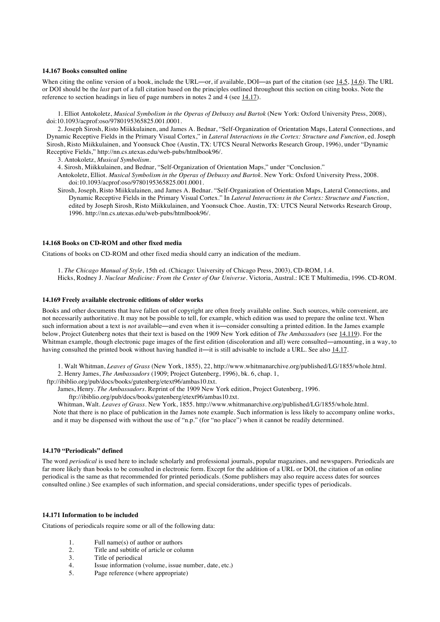## **14.167 Books consulted online**

When citing the online version of a book, include the URL—or, if available, DOI—as part of the citation (see 14.5, 14.6). The URL or DOI should be the *last* part of a full citation based on the principles outlined throughout this section on citing books. Note the reference to section headings in lieu of page numbers in notes 2 and 4 (see 14.17).

1. Elliot Antokoletz, *Musical Symbolism in the Operas of Debussy and Bartok* (New York: Oxford University Press, 2008), doi:10.1093/acprof:oso/9780195365825.001.0001.

2. Joseph Sirosh, Risto Miikkulainen, and James A. Bednar, "Self-Organization of Orientation Maps, Lateral Connections, and Dynamic Receptive Fields in the Primary Visual Cortex," in *Lateral Interactions in the Cortex: Structure and Function*, ed. Joseph Sirosh, Risto Miikkulainen, and Yoonsuck Choe (Austin, TX: UTCS Neural Networks Research Group, 1996), under "Dynamic Receptive Fields," http://nn.cs.utexas.edu/web-pubs/htmlbook96/.

3. Antokoletz, *Musical Symbolism*.

4. Sirosh, Miikkulainen, and Bednar, "Self-Organization of Orientation Maps," under "Conclusion."

Antokoletz, Elliot. *Musical Symbolism in the Operas of Debussy and Bartok*. New York: Oxford University Press, 2008. doi:10.1093/acprof:oso/9780195365825.001.0001.

Sirosh, Joseph, Risto Miikkulainen, and James A. Bednar. "Self-Organization of Orientation Maps, Lateral Connections, and Dynamic Receptive Fields in the Primary Visual Cortex." In *Lateral Interactions in the Cortex: Structure and Function*, edited by Joseph Sirosh, Risto Miikkulainen, and Yoonsuck Choe. Austin, TX: UTCS Neural Networks Research Group, 1996. http://nn.cs.utexas.edu/web-pubs/htmlbook96/.

## **14.168 Books on CD-ROM and other fixed media**

Citations of books on CD-ROM and other fixed media should carry an indication of the medium.

1. *The Chicago Manual of Style*, 15th ed. (Chicago: University of Chicago Press, 2003), CD-ROM, 1.4. Hicks, Rodney J. *Nuclear Medicine: From the Center of Our Universe*. Victoria, Austral.: ICE T Multimedia, 1996. CD-ROM.

#### **14.169 Freely available electronic editions of older works**

Books and other documents that have fallen out of copyright are often freely available online. Such sources, while convenient, are not necessarily authoritative. It may not be possible to tell, for example, which edition was used to prepare the online text. When such information about a text is *not* available—and even when it is—consider consulting a printed edition. In the James example below, Project Gutenberg notes that their text is based on the 1909 New York edition of *The Ambassadors* (see 14.119). For the Whitman example, though electronic page images of the first edition (discoloration and all) were consulted—amounting, in a way, to having consulted the printed book without having handled it—it is still advisable to include a URL. See also 14.17.

1. Walt Whitman, *Leaves of Grass* (New York, 1855), 22, http://www.whitmanarchive.org/published/LG/1855/whole.html.

2. Henry James, *The Ambassadors* (1909; Project Gutenberg, 1996), bk. 6, chap. 1,

ftp://ibiblio.org/pub/docs/books/gutenberg/etext96/ambas10.txt.

James, Henry. *The Ambassadors*. Reprint of the 1909 New York edition, Project Gutenberg, 1996.

ftp://ibiblio.org/pub/docs/books/gutenberg/etext96/ambas10.txt.

Whitman, Walt. *Leaves of Grass*. New York, 1855. http://www.whitmanarchive.org/published/LG/1855/whole.html. Note that there is no place of publication in the James note example. Such information is less likely to accompany online works, and it may be dispensed with without the use of "n.p." (for "no place") when it cannot be readily determined.

## **14.170 "Periodicals" defined**

The word *periodical* is used here to include scholarly and professional journals, popular magazines, and newspapers. Periodicals are far more likely than books to be consulted in electronic form. Except for the addition of a URL or DOI, the citation of an online periodical is the same as that recommended for printed periodicals. (Some publishers may also require access dates for sources consulted online.) See examples of such information, and special considerations, under specific types of periodicals.

## **14.171 Information to be included**

Citations of periodicals require some or all of the following data:

- 1. Full name(s) of author or authors<br>2. Title and subtitle of article or colu
- 2. Title and subtitle of article or column<br>3. Title of periodical
- Title of periodical
- 4. Issue information (volume, issue number, date, etc.)
- 5. Page reference (where appropriate)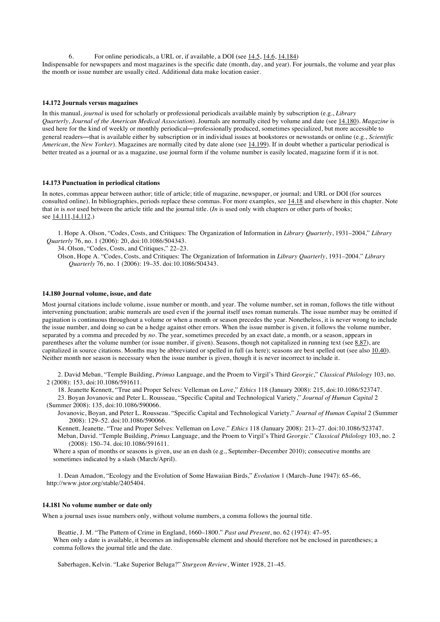6. For online periodicals, a URL or, if available, a DOI (see 14.5, 14.6, 14.184) Indispensable for newspapers and most magazines is the specific date (month, day, and year). For journals, the volume and year plus the month or issue number are usually cited. Additional data make location easier.

### **14.172 Journals versus magazines**

In this manual, *journal* is used for scholarly or professional periodicals available mainly by subscription (e.g., *Library Quarterly*, *Journal of the American Medical Association*). Journals are normally cited by volume and date (see 14.180). *Magazine* is used here for the kind of weekly or monthly periodical—professionally produced, sometimes specialized, but more accessible to general readers—that is available either by subscription or in individual issues at bookstores or newsstands or online (e.g., *Scientific American*, the *New Yorker*). Magazines are normally cited by date alone (see 14.199). If in doubt whether a particular periodical is better treated as a journal or as a magazine, use journal form if the volume number is easily located, magazine form if it is not.

## **14.173 Punctuation in periodical citations**

In notes, commas appear between author; title of article; title of magazine, newspaper, or journal; and URL or DOI (for sources consulted online). In bibliographies, periods replace these commas. For more examples, see 14.18 and elsewhere in this chapter. Note that *in* is *not* used between the article title and the journal title. (*In* is used only with chapters or other parts of books; see 14.111,14.112.)

1. Hope A. Olson, "Codes, Costs, and Critiques: The Organization of Information in *Library Quarterly*, 1931–2004," *Library Quarterly* 76, no. 1 (2006): 20, doi:10.1086/504343.

34. Olson, "Codes, Costs, and Critiques," 22–23.

Olson, Hope A. "Codes, Costs, and Critiques: The Organization of Information in *Library Quarterly*, 1931–2004." *Library Quarterly* 76, no. 1 (2006): 19–35. doi:10.1086/504343.

#### **14.180 Journal volume, issue, and date**

Most journal citations include volume, issue number or month, and year. The volume number, set in roman, follows the title without intervening punctuation; arabic numerals are used even if the journal itself uses roman numerals. The issue number may be omitted if pagination is continuous throughout a volume or when a month or season precedes the year. Nonetheless, it is never wrong to include the issue number, and doing so can be a hedge against other errors. When the issue number is given, it follows the volume number, separated by a comma and preceded by *no.* The year, sometimes preceded by an exact date, a month, or a season, appears in parentheses after the volume number (or issue number, if given). Seasons, though not capitalized in running text (see 8.87), are capitalized in source citations. Months may be abbreviated or spelled in full (as here); seasons are best spelled out (see also 10.40). Neither month nor season is necessary when the issue number is given, though it is never incorrect to include it.

2. David Meban, "Temple Building, *Primus* Language, and the Proem to Virgil's Third *Georgic*," *Classical Philology* 103, no. 2 (2008): 153, doi:10.1086/591611.

18. Jeanette Kennett, "True and Proper Selves: Velleman on Love," *Ethics* 118 (January 2008): 215, doi:10.1086/523747.

23. Boyan Jovanovic and Peter L. Rousseau, "Specific Capital and Technological Variety," *Journal of Human Capital* 2 (Summer 2008): 135, doi:10.1086/590066.

Jovanovic, Boyan, and Peter L. Rousseau. "Specific Capital and Technological Variety." *Journal of Human Capital* 2 (Summer 2008): 129–52. doi:10.1086/590066.

Kennett, Jeanette. "True and Proper Selves: Velleman on Love." *Ethics* 118 (January 2008): 213–27. doi:10.1086/523747. Meban, David. "Temple Building, *Primus* Language, and the Proem to Virgil's Third *Georgic*." *Classical Philology* 103, no. 2 (2008): 150–74. doi:10.1086/591611.

Where a span of months or seasons is given, use an en dash (e.g., September–December 2010); consecutive months are sometimes indicated by a slash (March/April).

1. Dean Amadon, "Ecology and the Evolution of Some Hawaiian Birds," *Evolution* 1 (March–June 1947): 65–66, http://www.jstor.org/stable/2405404.

### **14.181 No volume number or date only**

When a journal uses issue numbers only, without volume numbers, a comma follows the journal title.

Beattie, J. M. "The Pattern of Crime in England, 1660–1800." *Past and Present*, no. 62 (1974): 47–95. When only a date is available, it becomes an indispensable element and should therefore not be enclosed in parentheses; a comma follows the journal title and the date.

Saberhagen, Kelvin. "Lake Superior Beluga?" *Sturgeon Review*, Winter 1928, 21–45.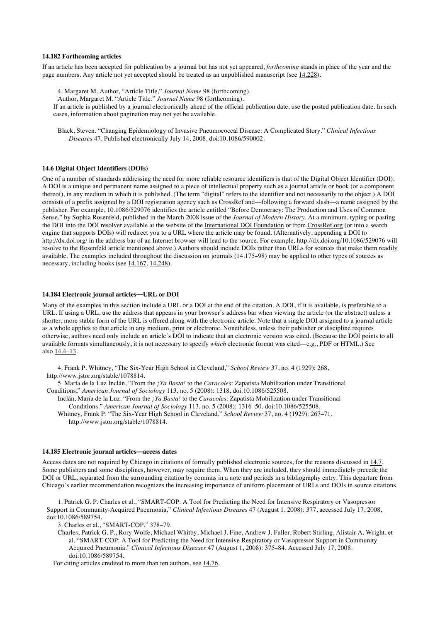#### **14.182 Forthcoming articles**

If an article has been accepted for publication by a journal but has not yet appeared, *forthcoming* stands in place of the year and the page numbers. Any article not yet accepted should be treated as an unpublished manuscript (see 14.228).

4. Margaret M. Author, "Article Title," *Journal Name* 98 (forthcoming).

Author, Margaret M. "Article Title." *Journal Name* 98 (forthcoming).

If an article is published by a journal electronically ahead of the official publication date, use the posted publication date. In such cases, information about pagination may not yet be available.

Black, Steven. "Changing Epidemiology of Invasive Pneumococcal Disease: A Complicated Story." *Clinical Infectious Diseases* 47. Published electronically July 14, 2008. doi:10.1086/590002.

## **14.6 Digital Object Identifiers (DOIs)**

One of a number of standards addressing the need for more reliable resource identifiers is that of the Digital Object Identifier (DOI). A DOI is a unique and permanent name assigned to a piece of intellectual property such as a journal article or book (or a component thereof), in any medium in which it is published. (The term "digital" refers to the identifier and not necessarily to the object.) A DOI consists of a prefix assigned by a DOI registration agency such as CrossRef and—following a forward slash—a name assigned by the publisher. For example, 10.1086/529076 identifies the article entitled "Before Democracy: The Production and Uses of Common Sense," by Sophia Rosenfeld, published in the March 2008 issue of the *Journal of Modern History*. At a minimum, typing or pasting the DOI into the DOI resolver available at the website of the International DOI Foundation or from CrossRef.org (or into a search engine that supports DOIs) will redirect you to a URL where the article may be found. (Alternatively, appending a DOI to http://dx.doi.org/ in the address bar of an Internet browser will lead to the source. For example, http://dx.doi.org/10.1086/529076 will resolve to the Rosenfeld article mentioned above.) Authors should include DOIs rather than URLs for sources that make them readily available. The examples included throughout the discussion on journals (14.175–98) may be applied to other types of sources as necessary, including books (see 14.167, 14.248).

# **14.184 Electronic journal articles—URL or DOI**

Many of the examples in this section include a URL or a DOI at the end of the citation. A DOI, if it is available, is preferable to a URL. If using a URL, use the address that appears in your browser's address bar when viewing the article (or the abstract) unless a shorter, more stable form of the URL is offered along with the electronic article. Note that a single DOI assigned to a journal article as a whole applies to that article in any medium, print or electronic. Nonetheless, unless their publisher or discipline requires otherwise, authors need only include an article's DOI to indicate that an electronic version was cited. (Because the DOI points to all available formats simultaneously, it is not necessary to specify *which* electronic format was cited—e.g., PDF or HTML.) See also 14.4–13.

4. Frank P. Whitney, "The Six-Year High School in Cleveland," *School Review* 37, no. 4 (1929): 268, http://www.jstor.org/stable/1078814.

5. María de la Luz Inclán, "From the *¡Ya Basta!* to the *Caracoles*: Zapatista Mobilization under Transitional Conditions," *American Journal of Sociology* 113, no. 5 (2008): 1318, doi:10.1086/525508.

Inclán, María de la Luz. "From the *¡Ya Basta!* to the *Caracoles*: Zapatista Mobilization under Transitional

Conditions." *American Journal of Sociology* 113, no. 5 (2008): 1316–50. doi:10.1086/525508. Whitney, Frank P. "The Six-Year High School in Cleveland." *School Review* 37, no. 4 (1929): 267–71. http://www.jstor.org/stable/1078814.

#### **14.185 Electronic journal articles—access dates**

Access dates are not required by Chicago in citations of formally published electronic sources, for the reasons discussed in 14.7. Some publishers and some disciplines, however, may require them. When they are included, they should immediately precede the DOI or URL, separated from the surrounding citation by commas in a note and periods in a bibliography entry. This departure from Chicago's earlier recommendation recognizes the increasing importance of uniform placement of URLs and DOIs in source citations.

1. Patrick G. P. Charles et al., "SMART-COP: A Tool for Predicting the Need for Intensive Respiratory or Vasopressor Support in Community-Acquired Pneumonia," *Clinical Infectious Diseases* 47 (August 1, 2008): 377, accessed July 17, 2008, doi:10.1086/589754.

3. Charles et al., "SMART-COP," 378–79.

Charles, Patrick G. P., Rory Wolfe, Michael Whitby, Michael J. Fine, Andrew J. Fuller, Robert Stirling, Alistair A. Wright, et al. "SMART-COP: A Tool for Predicting the Need for Intensive Respiratory or Vasopressor Support in Community-Acquired Pneumonia." *Clinical Infectious Diseases* 47 (August 1, 2008): 375–84. Accessed July 17, 2008. doi:10.1086/589754.

For citing articles credited to more than ten authors, see 14.76.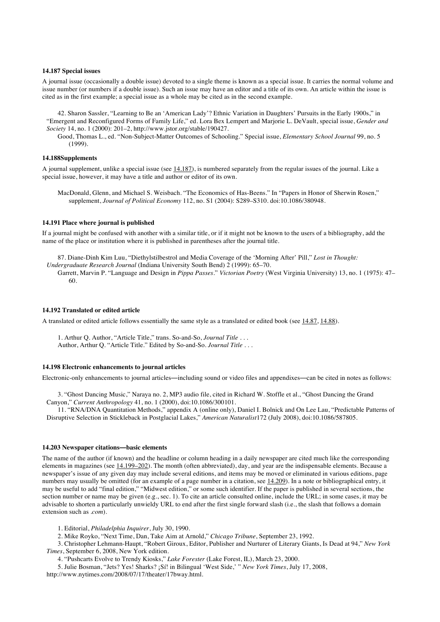## **14.187 Special issues**

A journal issue (occasionally a double issue) devoted to a single theme is known as a special issue. It carries the normal volume and issue number (or numbers if a double issue). Such an issue may have an editor and a title of its own. An article within the issue is cited as in the first example; a special issue as a whole may be cited as in the second example.

42. Sharon Sassler, "Learning to Be an 'American Lady'? Ethnic Variation in Daughters' Pursuits in the Early 1900s," in "Emergent and Reconfigured Forms of Family Life," ed. Lora Bex Lempert and Marjorie L. DeVault, special issue, *Gender and Society* 14, no. 1 (2000): 201–2, http://www.jstor.org/stable/190427.

Good, Thomas L., ed. "Non-Subject-Matter Outcomes of Schooling." Special issue, *Elementary School Journal* 99, no. 5 (1999).

## **14.188Supplements**

A journal supplement, unlike a special issue (see 14.187), is numbered separately from the regular issues of the journal. Like a special issue, however, it may have a title and author or editor of its own.

MacDonald, Glenn, and Michael S. Weisbach. "The Economics of Has-Beens." In "Papers in Honor of Sherwin Rosen," supplement, *Journal of Political Economy* 112, no. S1 (2004): S289–S310. doi:10.1086/380948.

## **14.191 Place where journal is published**

If a journal might be confused with another with a similar title, or if it might not be known to the users of a bibliography, add the name of the place or institution where it is published in parentheses after the journal title.

87. Diane-Dinh Kim Luu, "Diethylstilbestrol and Media Coverage of the 'Morning After' Pill," *Lost in Thought:* 

*Undergraduate Research Journal* (Indiana University South Bend) 2 (1999): 65–70.

Garrett, Marvin P. "Language and Design in *Pippa Passes*." *Victorian Poetry* (West Virginia University) 13, no. 1 (1975): 47– 60.

### **14.192 Translated or edited article**

A translated or edited article follows essentially the same style as a translated or edited book (see 14.87, 14.88).

1. Arthur Q. Author, "Article Title," trans. So-and-So, *Journal Title* . . . Author, Arthur Q. "Article Title." Edited by So-and-So. *Journal Title* . . .

## **14.198 Electronic enhancements to journal articles**

Electronic-only enhancements to journal articles—including sound or video files and appendixes—can be cited in notes as follows:

3. "Ghost Dancing Music," Naraya no. 2, MP3 audio file, cited in Richard W. Stoffle et al., "Ghost Dancing the Grand Canyon," *Current Anthropology* 41, no. 1 (2000), doi:10.1086/300101.

11. "RNA/DNA Quantitation Methods," appendix A (online only), Daniel I. Bolnick and On Lee Lau, "Predictable Patterns of Disruptive Selection in Stickleback in Postglacial Lakes," *American Naturalist*172 (July 2008), doi:10.1086/587805.

## **14.203 Newspaper citations—basic elements**

The name of the author (if known) and the headline or column heading in a daily newspaper are cited much like the corresponding elements in magazines (see 14.199–202). The month (often abbreviated), day, and year are the indispensable elements. Because a newspaper's issue of any given day may include several editions, and items may be moved or eliminated in various editions, page numbers may usually be omitted (for an example of a page number in a citation, see 14.209). In a note or bibliographical entry, it may be useful to add "final edition," "Midwest edition," or some such identifier. If the paper is published in several sections, the section number or name may be given (e.g., sec. 1). To cite an article consulted online, include the URL; in some cases, it may be advisable to shorten a particularly unwieldy URL to end after the first single forward slash (i.e., the slash that follows a domain extension such as *.com*).

1. Editorial, *Philadelphia Inquirer*, July 30, 1990.

2. Mike Royko, "Next Time, Dan, Take Aim at Arnold," *Chicago Tribune*, September 23, 1992.

3. Christopher Lehmann-Haupt, "Robert Giroux, Editor, Publisher and Nurturer of Literary Giants, Is Dead at 94," *New York Times*, September 6, 2008, New York edition.

4. "Pushcarts Evolve to Trendy Kiosks," *Lake Forester* (Lake Forest, IL), March 23, 2000.

5. Julie Bosman, "Jets? Yes! Sharks? ¡Sí! in Bilingual 'West Side,' " *New York Times*, July 17, 2008, http://www.nytimes.com/2008/07/17/theater/17bway.html.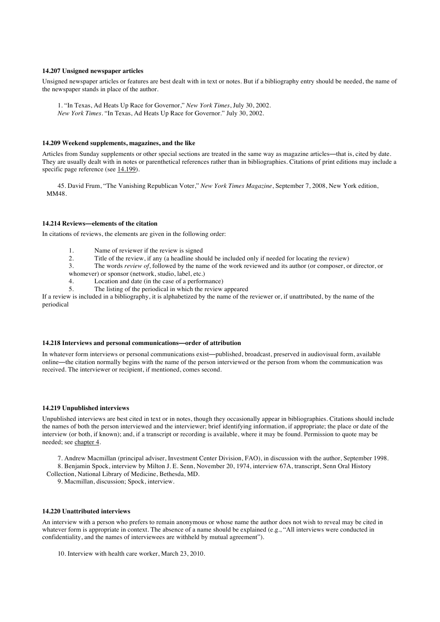## **14.207 Unsigned newspaper articles**

Unsigned newspaper articles or features are best dealt with in text or notes. But if a bibliography entry should be needed, the name of the newspaper stands in place of the author.

1. "In Texas, Ad Heats Up Race for Governor," *New York Times*, July 30, 2002. *New York Times*. "In Texas, Ad Heats Up Race for Governor." July 30, 2002.

## **14.209 Weekend supplements, magazines, and the like**

Articles from Sunday supplements or other special sections are treated in the same way as magazine articles—that is, cited by date. They are usually dealt with in notes or parenthetical references rather than in bibliographies. Citations of print editions may include a specific page reference (see  $14.199$ ).

45. David Frum, "The Vanishing Republican Voter," *New York Times Magazine*, September 7, 2008, New York edition, MM48.

## **14.214 Reviews—elements of the citation**

In citations of reviews, the elements are given in the following order:

- 1. Name of reviewer if the review is signed
- 2. Title of the review, if any (a headline should be included only if needed for locating the review)<br>3. The words *review of* followed by the name of the work reviewed and its author (or composer, or
- 3. The words *review of*, followed by the name of the work reviewed and its author (or composer, or director, or
- whomever) or sponsor (network, studio, label, etc.)
- 4. Location and date (in the case of a performance)
- 5. The listing of the periodical in which the review appeared

If a review is included in a bibliography, it is alphabetized by the name of the reviewer or, if unattributed, by the name of the periodical

### **14.218 Interviews and personal communications—order of attribution**

In whatever form interviews or personal communications exist—published, broadcast, preserved in audiovisual form, available online—the citation normally begins with the name of the person interviewed or the person from whom the communication was received. The interviewer or recipient, if mentioned, comes second.

## **14.219 Unpublished interviews**

Unpublished interviews are best cited in text or in notes, though they occasionally appear in bibliographies. Citations should include the names of both the person interviewed and the interviewer; brief identifying information, if appropriate; the place or date of the interview (or both, if known); and, if a transcript or recording is available, where it may be found. Permission to quote may be needed; see chapter 4.

7. Andrew Macmillan (principal adviser, Investment Center Division, FAO), in discussion with the author, September 1998. 8. Benjamin Spock, interview by Milton J. E. Senn, November 20, 1974, interview 67A, transcript, Senn Oral History

Collection, National Library of Medicine, Bethesda, MD.

9. Macmillan, discussion; Spock, interview.

#### **14.220 Unattributed interviews**

An interview with a person who prefers to remain anonymous or whose name the author does not wish to reveal may be cited in whatever form is appropriate in context. The absence of a name should be explained (e.g., "All interviews were conducted in confidentiality, and the names of interviewees are withheld by mutual agreement").

10. Interview with health care worker, March 23, 2010.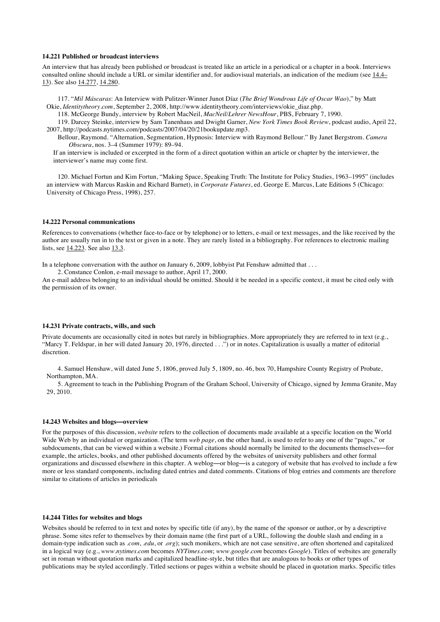## **14.221 Published or broadcast interviews**

An interview that has already been published or broadcast is treated like an article in a periodical or a chapter in a book. Interviews consulted online should include a URL or similar identifier and, for audiovisual materials, an indication of the medium (see 14.4– 13). See also 14.277, 14.280.

117. "*Mil Máscaras*: An Interview with Pulitzer-Winner Junot Díaz (*The Brief Wondrous Life of Oscar Wao*)," by Matt Okie, *Identitytheory.com*, September 2, 2008, http://www.identitytheory.com/interviews/okie\_diaz.php.

118. McGeorge Bundy, interview by Robert MacNeil, *MacNeil/Lehrer NewsHour*, PBS, February 7, 1990.

119. Darcey Steinke, interview by Sam Tanenhaus and Dwight Garner, *New York Times Book Review*, podcast audio, April 22, 2007, http://podcasts.nytimes.com/podcasts/2007/04/20/21bookupdate.mp3.

Bellour, Raymond. "Alternation, Segmentation, Hypnosis: Interview with Raymond Bellour." By Janet Bergstrom. *Camera Obscura*, nos. 3–4 (Summer 1979): 89–94.

If an interview is included or excerpted in the form of a direct quotation within an article or chapter by the interviewer, the interviewer's name may come first.

120. Michael Fortun and Kim Fortun, "Making Space, Speaking Truth: The Institute for Policy Studies, 1963–1995" (includes an interview with Marcus Raskin and Richard Barnet), in *Corporate Futures*, ed. George E. Marcus, Late Editions 5 (Chicago: University of Chicago Press, 1998), 257.

## **14.222 Personal communications**

References to conversations (whether face-to-face or by telephone) or to letters, e-mail or text messages, and the like received by the author are usually run in to the text or given in a note. They are rarely listed in a bibliography. For references to electronic mailing lists, see 14.223. See also 13.3.

In a telephone conversation with the author on January 6, 2009, lobbyist Pat Fenshaw admitted that . . .

2. Constance Conlon, e-mail message to author, April 17, 2000.

An e-mail address belonging to an individual should be omitted. Should it be needed in a specific context, it must be cited only with the permission of its owner.

#### **14.231 Private contracts, wills, and such**

Private documents are occasionally cited in notes but rarely in bibliographies. More appropriately they are referred to in text (e.g., "Marcy T. Feldspar, in her will dated January 20, 1976, directed . . .") or in notes. Capitalization is usually a matter of editorial discretion.

4. Samuel Henshaw, will dated June 5, 1806, proved July 5, 1809, no. 46, box 70, Hampshire County Registry of Probate, Northampton, MA.

5. Agreement to teach in the Publishing Program of the Graham School, University of Chicago, signed by Jemma Granite, May 29, 2010.

#### **14.243 Websites and blogs—overview**

For the purposes of this discussion, *website* refers to the collection of documents made available at a specific location on the World Wide Web by an individual or organization. (The term *web page*, on the other hand, is used to refer to any one of the "pages," or subdocuments, that can be viewed within a website.) Formal citations should normally be limited to the documents themselves—for example, the articles, books, and other published documents offered by the websites of university publishers and other formal organizations and discussed elsewhere in this chapter. A weblog—or blog—is a category of website that has evolved to include a few more or less standard components, including dated entries and dated comments. Citations of blog entries and comments are therefore similar to citations of articles in periodicals

### **14.244 Titles for websites and blogs**

Websites should be referred to in text and notes by specific title (if any), by the name of the sponsor or author, or by a descriptive phrase. Some sites refer to themselves by their domain name (the first part of a URL, following the double slash and ending in a domain-type indication such as *.com*, *.edu*, or *.org*); such monikers, which are not case sensitive, are often shortened and capitalized in a logical way (e.g., *www.nytimes.com* becomes *NYTimes.com*; *www.google.com* becomes *Google*). Titles of websites are generally set in roman without quotation marks and capitalized headline-style, but titles that are analogous to books or other types of publications may be styled accordingly. Titled sections or pages within a website should be placed in quotation marks. Specific titles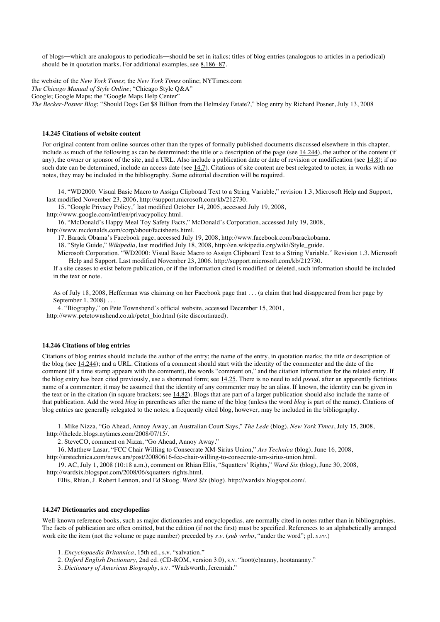of blogs—which are analogous to periodicals—should be set in italics; titles of blog entries (analogous to articles in a periodical) should be in quotation marks. For additional examples, see 8.186–87.

the website of the *New York Times*; the *New York Times* online; NYTimes.com *The Chicago Manual of Style Online*; "Chicago Style Q&A" Google; Google Maps; the "Google Maps Help Center" *The Becker-Posner Blog*; "Should Dogs Get \$8 Billion from the Helmsley Estate?," blog entry by Richard Posner, July 13, 2008

#### **14.245 Citations of website content**

For original content from online sources other than the types of formally published documents discussed elsewhere in this chapter, include as much of the following as can be determined: the title or a description of the page (see 14.244), the author of the content (if any), the owner or sponsor of the site, and a URL. Also include a publication date or date of revision or modification (see 14.8); if no such date can be determined, include an access date (see 14.7). Citations of site content are best relegated to notes; in works with no notes, they may be included in the bibliography. Some editorial discretion will be required.

14. "WD2000: Visual Basic Macro to Assign Clipboard Text to a String Variable," revision 1.3, Microsoft Help and Support, last modified November 23, 2006, http://support.microsoft.com/kb/212730.

15. "Google Privacy Policy," last modified October 14, 2005, accessed July 19, 2008,

http://www.google.com/intl/en/privacypolicy.html.

16. "McDonald's Happy Meal Toy Safety Facts," McDonald's Corporation, accessed July 19, 2008,

http://www.mcdonalds.com/corp/about/factsheets.html.

17. Barack Obama's Facebook page, accessed July 19, 2008, http://www.facebook.com/barackobama.

18. "Style Guide," *Wikipedia*, last modified July 18, 2008, http://en.wikipedia.org/wiki/Style\_guide.

Microsoft Corporation. "WD2000: Visual Basic Macro to Assign Clipboard Text to a String Variable." Revision 1.3. Microsoft Help and Support. Last modified November 23, 2006. http://support.microsoft.com/kb/212730.

If a site ceases to exist before publication, or if the information cited is modified or deleted, such information should be included in the text or note.

As of July 18, 2008, Hefferman was claiming on her Facebook page that . . . (a claim that had disappeared from her page by September 1, 2008) . . .

4. "Biography," on Pete Townshend's official website, accessed December 15, 2001,

http://www.petetownshend.co.uk/petet\_bio.html (site discontinued).

#### **14.246 Citations of blog entries**

Citations of blog entries should include the author of the entry; the name of the entry, in quotation marks; the title or description of the blog (see 14.244); and a URL. Citations of a comment should start with the identity of the commenter and the date of the comment (if a time stamp appears with the comment), the words "comment on," and the citation information for the related entry. If the blog entry has been cited previously, use a shortened form; see 14.25. There is no need to add *pseud.* after an apparently fictitious name of a commenter; it may be assumed that the identity of any commenter may be an alias. If known, the identity can be given in the text or in the citation (in square brackets; see 14.82). Blogs that are part of a larger publication should also include the name of that publication. Add the word *blog* in parentheses after the name of the blog (unless the word *blog* is part of the name). Citations of blog entries are generally relegated to the notes; a frequently cited blog, however, may be included in the bibliography.

1. Mike Nizza, "Go Ahead, Annoy Away, an Australian Court Says," *The Lede* (blog), *New York Times*, July 15, 2008, http://thelede.blogs.nytimes.com/2008/07/15/.

2. SteveCO, comment on Nizza, "Go Ahead, Annoy Away."

16. Matthew Lasar, "FCC Chair Willing to Consecrate XM-Sirius Union," *Ars Technica* (blog), June 16, 2008,

http://arstechnica.com/news.ars/post/20080616-fcc-chair-willing-to-consecrate-xm-sirius-union.html.

19. AC, July 1, 2008 (10:18 a.m.), comment on Rhian Ellis, "Squatters' Rights," *Ward Six* (blog), June 30, 2008, http://wardsix.blogspot.com/2008/06/squatters-rights.html.

Ellis, Rhian, J. Robert Lennon, and Ed Skoog. *Ward Six* (blog). http://wardsix.blogspot.com/.

## **14.247 Dictionaries and encyclopedias**

Well-known reference books, such as major dictionaries and encyclopedias, are normally cited in notes rather than in bibliographies. The facts of publication are often omitted, but the edition (if not the first) must be specified. References to an alphabetically arranged work cite the item (not the volume or page number) preceded by *s.v.* (*sub verbo*, "under the word"; pl. *s.vv.*)

1. *Encyclopaedia Britannica*, 15th ed., s.v. "salvation."

- 2. *Oxford English Dictionary*, 2nd ed. (CD-ROM, version 3.0), s.v. "hoot(e)nanny, hootananny."
- 3. *Dictionary of American Biography*, s.v. "Wadsworth, Jeremiah."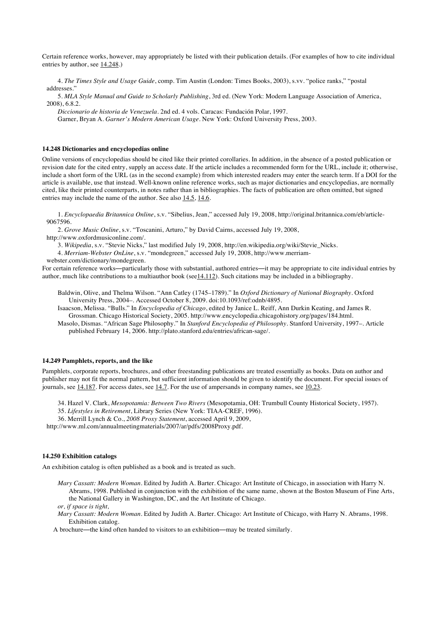Certain reference works, however, may appropriately be listed with their publication details. (For examples of how to cite individual entries by author, see 14.248.)

4. *The Times Style and Usage Guide*, comp. Tim Austin (London: Times Books, 2003), s.vv. "police ranks," "postal addresses."

5. *MLA Style Manual and Guide to Scholarly Publishing*, 3rd ed. (New York: Modern Language Association of America, 2008), 6.8.2.

*Diccionario de historia de Venezuela*. 2nd ed. 4 vols. Caracas: Fundación Polar, 1997.

Garner, Bryan A. *Garner's Modern American Usage*. New York: Oxford University Press, 2003.

## **14.248 Dictionaries and encyclopedias online**

Online versions of encyclopedias should be cited like their printed corollaries. In addition, in the absence of a posted publication or revision date for the cited entry, supply an access date. If the article includes a recommended form for the URL, include it; otherwise, include a short form of the URL (as in the second example) from which interested readers may enter the search term. If a DOI for the article is available, use that instead. Well-known online reference works, such as major dictionaries and encyclopedias, are normally cited, like their printed counterparts, in notes rather than in bibliographies. The facts of publication are often omitted, but signed entries may include the name of the author. See also 14.5, 14.6.

1. *Encyclopaedia Britannica Online*, s.v. "Sibelius, Jean," accessed July 19, 2008, http://original.britannica.com/eb/article-9067596.

2. *Grove Music Online*, s.v. "Toscanini, Arturo," by David Cairns, accessed July 19, 2008,

http://www.oxfordmusiconline.com/.

3. *Wikipedia*, s.v. "Stevie Nicks," last modified July 19, 2008, http://en.wikipedia.org/wiki/Stevie\_Nicks.

4. *Merriam-Webster OnLine*, s.v. "mondegreen," accessed July 19, 2008, http://www.merriam-

webster.com/dictionary/mondegreen.

For certain reference works—particularly those with substantial, authored entries—it may be appropriate to cite individual entries by author, much like contributions to a multiauthor book ( $\sec 14.112$ ). Such citations may be included in a bibliography.

Baldwin, Olive, and Thelma Wilson. "Ann Catley (1745–1789)." In *Oxford Dictionary of National Biography*. Oxford University Press, 2004–. Accessed October 8, 2009. doi:10.1093/ref:odnb/4895.

Isaacson, Melissa. "Bulls." In *Encyclopedia of Chicago*, edited by Janice L. Reiff, Ann Durkin Keating, and James R. Grossman. Chicago Historical Society, 2005. http://www.encyclopedia.chicagohistory.org/pages/184.html.

Masolo, Dismas. "African Sage Philosophy." In *Stanford Encyclopedia of Philosophy*. Stanford University, 1997–. Article published February 14, 2006. http://plato.stanford.edu/entries/african-sage/.

## **14.249 Pamphlets, reports, and the like**

Pamphlets, corporate reports, brochures, and other freestanding publications are treated essentially as books. Data on author and publisher may not fit the normal pattern, but sufficient information should be given to identify the document. For special issues of journals, see  $\underline{14.187}$ . For access dates, see  $\underline{14.7}$ . For the use of ampersands in company names, see  $\underline{10.23}$ .

- 34. Hazel V. Clark, *Mesopotamia: Between Two Rivers* (Mesopotamia, OH: Trumbull County Historical Society, 1957).
- 35. *Lifestyles in Retirement*, Library Series (New York: TIAA-CREF, 1996).
- 36. Merrill Lynch & Co., *2008 Proxy Statement*, accessed April 9, 2009,

http://www.ml.com/annualmeetingmaterials/2007/ar/pdfs/2008Proxy.pdf.

# **14.250 Exhibition catalogs**

An exhibition catalog is often published as a book and is treated as such.

*Mary Cassatt: Modern Woman.* Edited by Judith A. Barter. Chicago: Art Institute of Chicago, in association with Harry N. Abrams, 1998. Published in conjunction with the exhibition of the same name, shown at the Boston Museum of Fine Arts, the National Gallery in Washington, DC, and the Art Institute of Chicago.

*Mary Cassatt: Modern Woman.* Edited by Judith A. Barter. Chicago: Art Institute of Chicago, with Harry N. Abrams, 1998. Exhibition catalog.

A brochure—the kind often handed to visitors to an exhibition—may be treated similarly.

*or, if space is tight,*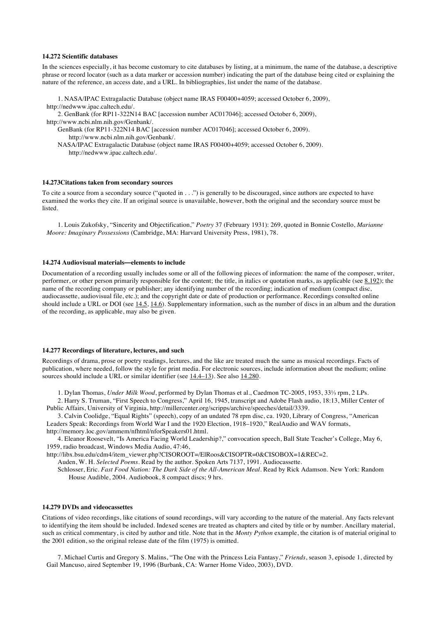## **14.272 Scientific databases**

In the sciences especially, it has become customary to cite databases by listing, at a minimum, the name of the database, a descriptive phrase or record locator (such as a data marker or accession number) indicating the part of the database being cited or explaining the nature of the reference, an access date, and a URL. In bibliographies, list under the name of the database.

1. NASA/IPAC Extragalactic Database (object name IRAS F00400+4059; accessed October 6, 2009), http://nedwww.ipac.caltech.edu/.

2. GenBank (for RP11-322N14 BAC [accession number AC017046]; accessed October 6, 2009), http://www.ncbi.nlm.nih.gov/Genbank/.

GenBank (for RP11-322N14 BAC [accession number AC017046]; accessed October 6, 2009). http://www.ncbi.nlm.nih.gov/Genbank/.

NASA/IPAC Extragalactic Database (object name IRAS F00400+4059; accessed October 6, 2009). http://nedwww.ipac.caltech.edu/.

## **14.273Citations taken from secondary sources**

To cite a source from a secondary source ("quoted in . . .") is generally to be discouraged, since authors are expected to have examined the works they cite. If an original source is unavailable, however, both the original and the secondary source must be listed.

1. Louis Zukofsky, "Sincerity and Objectification," *Poetry* 37 (February 1931): 269, quoted in Bonnie Costello, *Marianne Moore: Imaginary Possessions* (Cambridge, MA: Harvard University Press, 1981), 78.

### **14.274 Audiovisual materials—elements to include**

Documentation of a recording usually includes some or all of the following pieces of information: the name of the composer, writer, performer, or other person primarily responsible for the content; the title, in italics or quotation marks, as applicable (see 8.192); the name of the recording company or publisher; any identifying number of the recording; indication of medium (compact disc, audiocassette, audiovisual file, etc.); and the copyright date or date of production or performance. Recordings consulted online should include a URL or DOI (see  $14.5$ ,  $14.6$ ). Supplementary information, such as the number of discs in an album and the duration of the recording, as applicable, may also be given.

### **14.277 Recordings of literature, lectures, and such**

Recordings of drama, prose or poetry readings, lectures, and the like are treated much the same as musical recordings. Facts of publication, where needed, follow the style for print media. For electronic sources, include information about the medium; online sources should include a URL or similar identifier (see 14.4–13). See also 14.280.

1. Dylan Thomas, *Under Milk Wood*, performed by Dylan Thomas et al., Caedmon TC-2005, 1953, 33⅓ rpm, 2 LPs.

2. Harry S. Truman, "First Speech to Congress," April 16, 1945, transcript and Adobe Flash audio, 18:13, Miller Center of Public Affairs, University of Virginia, http://millercenter.org/scripps/archive/speeches/detail/3339.

3. Calvin Coolidge, "Equal Rights" (speech), copy of an undated 78 rpm disc, ca. 1920, Library of Congress, "American Leaders Speak: Recordings from World War I and the 1920 Election, 1918–1920," RealAudio and WAV formats, http://memory.loc.gov/ammem/nfhtml/nforSpeakers01.html.

4. Eleanor Roosevelt, "Is America Facing World Leadership?," convocation speech, Ball State Teacher's College, May 6, 1959, radio broadcast, Windows Media Audio, 47:46,

http://libx.bsu.edu/cdm4/item\_viewer.php?CISOROOT=/ElRoos&CISOPTR=0&CISOBOX=1&REC=2.

Auden, W. H. *Selected Poems*. Read by the author. Spoken Arts 7137, 1991. Audiocassette.

Schlosser, Eric. *Fast Food Nation: The Dark Side of the All-American Meal*. Read by Rick Adamson. New York: Random House Audible, 2004. Audiobook, 8 compact discs; 9 hrs.

# **14.279 DVDs and videocassettes**

Citations of video recordings, like citations of sound recordings, will vary according to the nature of the material. Any facts relevant to identifying the item should be included. Indexed scenes are treated as chapters and cited by title or by number. Ancillary material, such as critical commentary, is cited by author and title. Note that in the *Monty Python* example, the citation is of material original to the 2001 edition, so the original release date of the film (1975) is omitted.

7. Michael Curtis and Gregory S. Malins, "The One with the Princess Leia Fantasy," *Friends*, season 3, episode 1, directed by Gail Mancuso, aired September 19, 1996 (Burbank, CA: Warner Home Video, 2003), DVD.